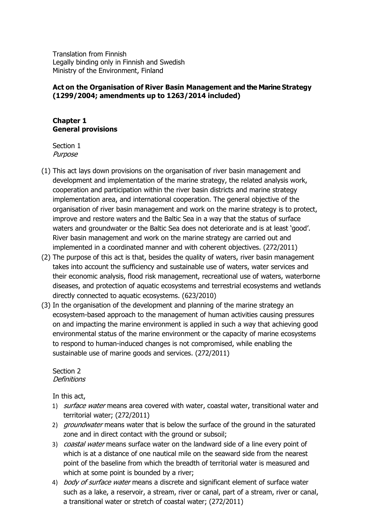Translation from Finnish Legally binding only in Finnish and Swedish Ministry of the Environment, Finland

### **Act on the Organisation of River Basin Management and the Marine Strategy (1299/2004; amendments up to 1263/2014 included)**

#### **Chapter 1 General provisions**

Section 1 Purpose

- (1) This act lays down provisions on the organisation of river basin management and development and implementation of the marine strategy, the related analysis work, cooperation and participation within the river basin districts and marine strategy implementation area, and international cooperation. The general objective of the organisation of river basin management and work on the marine strategy is to protect, improve and restore waters and the Baltic Sea in a way that the status of surface waters and groundwater or the Baltic Sea does not deteriorate and is at least 'good'. River basin management and work on the marine strategy are carried out and implemented in a coordinated manner and with coherent objectives. (272/2011)
- (2) The purpose of this act is that, besides the quality of waters, river basin management takes into account the sufficiency and sustainable use of waters, water services and their economic analysis, flood risk management, recreational use of waters, waterborne diseases, and protection of aquatic ecosystems and terrestrial ecosystems and wetlands directly connected to aquatic ecosystems. (623/2010)
- (3) In the organisation of the development and planning of the marine strategy an ecosystem-based approach to the management of human activities causing pressures on and impacting the marine environment is applied in such a way that achieving good environmental status of the marine environment or the capacity of marine ecosystems to respond to human-induced changes is not compromised, while enabling the sustainable use of marine goods and services. (272/2011)

Section 2 **Definitions** 

In this act,

- 1) *surface water* means area covered with water, coastal water, transitional water and territorial water; (272/2011)
- 2) groundwater means water that is below the surface of the ground in the saturated zone and in direct contact with the ground or subsoil;
- 3) *coastal water* means surface water on the landward side of a line every point of which is at a distance of one nautical mile on the seaward side from the nearest point of the baseline from which the breadth of territorial water is measured and which at some point is bounded by a river;
- 4) *body of surface water* means a discrete and significant element of surface water such as a lake, a reservoir, a stream, river or canal, part of a stream, river or canal, a transitional water or stretch of coastal water; (272/2011)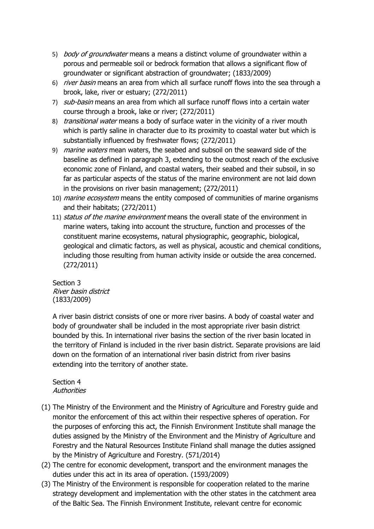- 5) *body of groundwater* means a means a distinct volume of groundwater within a porous and permeable soil or bedrock formation that allows a significant flow of groundwater or significant abstraction of groundwater; (1833/2009)
- 6) *river basin* means an area from which all surface runoff flows into the sea through a brook, lake, river or estuary; (272/2011)
- 7) sub-basin means an area from which all surface runoff flows into a certain water course through a brook, lake or river; (272/2011)
- 8) *transitional water* means a body of surface water in the vicinity of a river mouth which is partly saline in character due to its proximity to coastal water but which is substantially influenced by freshwater flows; (272/2011)
- 9) *marine waters* mean waters, the seabed and subsoil on the seaward side of the baseline as defined in paragraph 3, extending to the outmost reach of the exclusive economic zone of Finland, and coastal waters, their seabed and their subsoil, in so far as particular aspects of the status of the marine environment are not laid down in the provisions on river basin management; (272/2011)
- 10) *marine ecosystem* means the entity composed of communities of marine organisms and their habitats; (272/2011)
- 11) status of the marine environment means the overall state of the environment in marine waters, taking into account the structure, function and processes of the constituent marine ecosystems, natural physiographic, geographic, biological, geological and climatic factors, as well as physical, acoustic and chemical conditions, including those resulting from human activity inside or outside the area concerned. (272/2011)

Section 3 River basin district (1833/2009)

A river basin district consists of one or more river basins. A body of coastal water and body of groundwater shall be included in the most appropriate river basin district bounded by this. In international river basins the section of the river basin located in the territory of Finland is included in the river basin district. Separate provisions are laid down on the formation of an international river basin district from river basins extending into the territory of another state.

Section 4 **Authorities** 

- (1) The Ministry of the Environment and the Ministry of Agriculture and Forestry guide and monitor the enforcement of this act within their respective spheres of operation. For the purposes of enforcing this act, the Finnish Environment Institute shall manage the duties assigned by the Ministry of the Environment and the Ministry of Agriculture and Forestry and the Natural Resources Institute Finland shall manage the duties assigned by the Ministry of Agriculture and Forestry. (571/2014)
- (2) The centre for economic development, transport and the environment manages the duties under this act in its area of operation. (1593/2009)
- (3) The Ministry of the Environment is responsible for cooperation related to the marine strategy development and implementation with the other states in the catchment area of the Baltic Sea. The Finnish Environment Institute, relevant centre for economic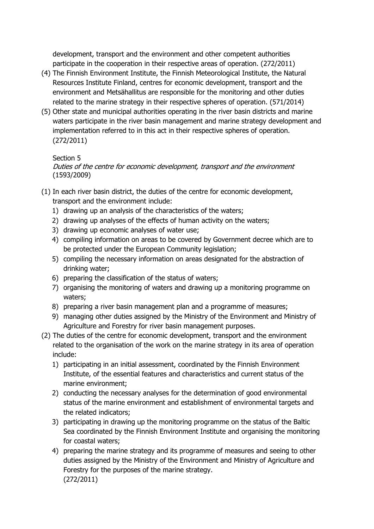development, transport and the environment and other competent authorities participate in the cooperation in their respective areas of operation. (272/2011)

- (4) The Finnish Environment Institute, the Finnish Meteorological Institute, the Natural Resources Institute Finland, centres for economic development, transport and the environment and Metsähallitus are responsible for the monitoring and other duties related to the marine strategy in their respective spheres of operation. (571/2014)
- (5) Other state and municipal authorities operating in the river basin districts and marine waters participate in the river basin management and marine strategy development and implementation referred to in this act in their respective spheres of operation. (272/2011)

#### Section 5

Duties of the centre for economic development, transport and the environment (1593/2009)

- (1) In each river basin district, the duties of the centre for economic development, transport and the environment include:
	- 1) drawing up an analysis of the characteristics of the waters;
	- 2) drawing up analyses of the effects of human activity on the waters;
	- 3) drawing up economic analyses of water use;
	- 4) compiling information on areas to be covered by Government decree which are to be protected under the European Community legislation;
	- 5) compiling the necessary information on areas designated for the abstraction of drinking water;
	- 6) preparing the classification of the status of waters;
	- 7) organising the monitoring of waters and drawing up a monitoring programme on waters;
	- 8) preparing a river basin management plan and a programme of measures;
	- 9) managing other duties assigned by the Ministry of the Environment and Ministry of Agriculture and Forestry for river basin management purposes.
- (2) The duties of the centre for economic development, transport and the environment related to the organisation of the work on the marine strategy in its area of operation include:
	- 1) participating in an initial assessment, coordinated by the Finnish Environment Institute, of the essential features and characteristics and current status of the marine environment;
	- 2) conducting the necessary analyses for the determination of good environmental status of the marine environment and establishment of environmental targets and the related indicators;
	- 3) participating in drawing up the monitoring programme on the status of the Baltic Sea coordinated by the Finnish Environment Institute and organising the monitoring for coastal waters;
	- 4) preparing the marine strategy and its programme of measures and seeing to other duties assigned by the Ministry of the Environment and Ministry of Agriculture and Forestry for the purposes of the marine strategy. (272/2011)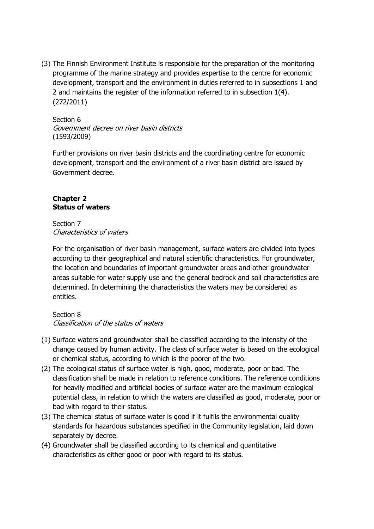(3) The Finnish Environment Institute is responsible for the preparation of the monitoring programme of the marine strategy and provides expertise to the centre for economic development, transport and the environment in duties referred to in subsections 1 and 2 and maintains the register of the information referred to in subsection 1(4). (272/2011)

Section 6 Government decree on river basin districts (1593/2009)

Further provisions on river basin districts and the coordinating centre for economic development, transport and the environment of a river basin district are issued by Government decree.

## **Chapter 2 Status of waters**

Section 7 Characteristics of waters

For the organisation of river basin management, surface waters are divided into types according to their geographical and natural scientific characteristics. For groundwater, the location and boundaries of important groundwater areas and other groundwater areas suitable for water supply use and the general bedrock and soil characteristics are determined. In determining the characteristics the waters may be considered as entities.

Section 8 Classification of the status of waters

- (1) Surface waters and groundwater shall be classified according to the intensity of the change caused by human activity. The class of surface water is based on the ecological or chemical status, according to which is the poorer of the two.
- (2) The ecological status of surface water is high, good, moderate, poor or bad. The classification shall be made in relation to reference conditions. The reference conditions for heavily modified and artificial bodies of surface water are the maximum ecological potential class, in relation to which the waters are classified as good, moderate, poor or bad with regard to their status.
- (3) The chemical status of surface water is good if it fulfils the environmental quality standards for hazardous substances specified in the Community legislation, laid down separately by decree.
- (4) Groundwater shall be classified according to its chemical and quantitative characteristics as either good or poor with regard to its status.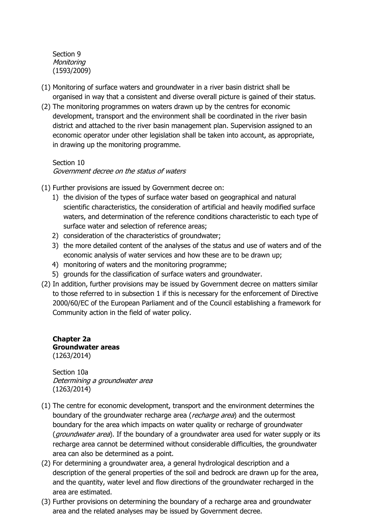Section 9 **Monitoring** (1593/2009)

- (1) Monitoring of surface waters and groundwater in a river basin district shall be organised in way that a consistent and diverse overall picture is gained of their status.
- (2) The monitoring programmes on waters drawn up by the centres for economic development, transport and the environment shall be coordinated in the river basin district and attached to the river basin management plan. Supervision assigned to an economic operator under other legislation shall be taken into account, as appropriate, in drawing up the monitoring programme.

Section 10 Government decree on the status of waters

- (1) Further provisions are issued by Government decree on:
	- 1) the division of the types of surface water based on geographical and natural scientific characteristics, the consideration of artificial and heavily modified surface waters, and determination of the reference conditions characteristic to each type of surface water and selection of reference areas;
	- 2) consideration of the characteristics of groundwater;
	- 3) the more detailed content of the analyses of the status and use of waters and of the economic analysis of water services and how these are to be drawn up;
	- 4) monitoring of waters and the monitoring programme;
	- 5) grounds for the classification of surface waters and groundwater.
- (2) In addition, further provisions may be issued by Government decree on matters similar to those referred to in subsection 1 if this is necessary for the enforcement of Directive 2000/60/EC of the European Parliament and of the Council establishing a framework for Community action in the field of water policy.

**Chapter 2a Groundwater areas** (1263/2014)

Section 10a Determining a groundwater area (1263/2014)

- (1) The centre for economic development, transport and the environment determines the boundary of the groundwater recharge area (recharge area) and the outermost boundary for the area which impacts on water quality or recharge of groundwater (*groundwater area*). If the boundary of a groundwater area used for water supply or its recharge area cannot be determined without considerable difficulties, the groundwater area can also be determined as a point.
- (2) For determining a groundwater area, a general hydrological description and a description of the general properties of the soil and bedrock are drawn up for the area, and the quantity, water level and flow directions of the groundwater recharged in the area are estimated.
- (3) Further provisions on determining the boundary of a recharge area and groundwater area and the related analyses may be issued by Government decree.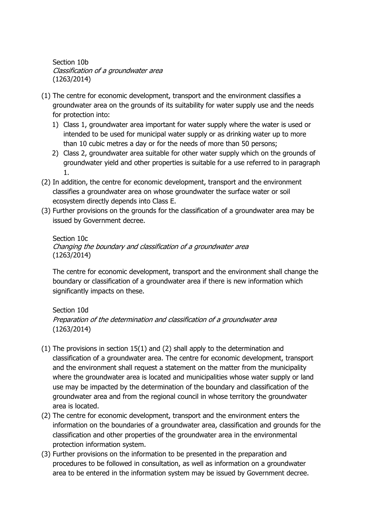Section 10b Classification of a groundwater area (1263/2014)

- (1) The centre for economic development, transport and the environment classifies a groundwater area on the grounds of its suitability for water supply use and the needs for protection into:
	- 1) Class 1, groundwater area important for water supply where the water is used or intended to be used for municipal water supply or as drinking water up to more than 10 cubic metres a day or for the needs of more than 50 persons;
	- 2) Class 2, groundwater area suitable for other water supply which on the grounds of groundwater yield and other properties is suitable for a use referred to in paragraph 1.
- (2) In addition, the centre for economic development, transport and the environment classifies a groundwater area on whose groundwater the surface water or soil ecosystem directly depends into Class E.
- (3) Further provisions on the grounds for the classification of a groundwater area may be issued by Government decree.

## Section 10c Changing the boundary and classification of a groundwater area (1263/2014)

The centre for economic development, transport and the environment shall change the boundary or classification of a groundwater area if there is new information which significantly impacts on these.

# Section 10d

Preparation of the determination and classification of a groundwater area (1263/2014)

- (1) The provisions in section 15(1) and (2) shall apply to the determination and classification of a groundwater area. The centre for economic development, transport and the environment shall request a statement on the matter from the municipality where the groundwater area is located and municipalities whose water supply or land use may be impacted by the determination of the boundary and classification of the groundwater area and from the regional council in whose territory the groundwater area is located.
- (2) The centre for economic development, transport and the environment enters the information on the boundaries of a groundwater area, classification and grounds for the classification and other properties of the groundwater area in the environmental protection information system.
- (3) Further provisions on the information to be presented in the preparation and procedures to be followed in consultation, as well as information on a groundwater area to be entered in the information system may be issued by Government decree.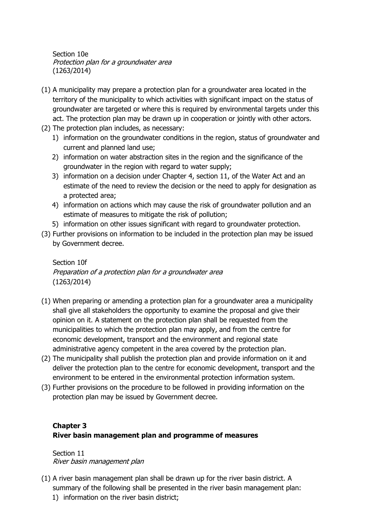Section 10e Protection plan for a groundwater area (1263/2014)

- (1) A municipality may prepare a protection plan for a groundwater area located in the territory of the municipality to which activities with significant impact on the status of groundwater are targeted or where this is required by environmental targets under this act. The protection plan may be drawn up in cooperation or jointly with other actors.
- (2) The protection plan includes, as necessary:
	- 1) information on the groundwater conditions in the region, status of groundwater and current and planned land use;
	- 2) information on water abstraction sites in the region and the significance of the groundwater in the region with regard to water supply;
	- 3) information on a decision under Chapter 4, section 11, of the Water Act and an estimate of the need to review the decision or the need to apply for designation as a protected area;
	- 4) information on actions which may cause the risk of groundwater pollution and an estimate of measures to mitigate the risk of pollution;
	- 5) information on other issues significant with regard to groundwater protection.
- (3) Further provisions on information to be included in the protection plan may be issued by Government decree.

Section 10f Preparation of a protection plan for a groundwater area (1263/2014)

- (1) When preparing or amending a protection plan for a groundwater area a municipality shall give all stakeholders the opportunity to examine the proposal and give their opinion on it. A statement on the protection plan shall be requested from the municipalities to which the protection plan may apply, and from the centre for economic development, transport and the environment and regional state administrative agency competent in the area covered by the protection plan.
- (2) The municipality shall publish the protection plan and provide information on it and deliver the protection plan to the centre for economic development, transport and the environment to be entered in the environmental protection information system.
- (3) Further provisions on the procedure to be followed in providing information on the protection plan may be issued by Government decree.

## **Chapter 3 River basin management plan and programme of measures**

Section 11 River basin management plan

- (1) A river basin management plan shall be drawn up for the river basin district. A summary of the following shall be presented in the river basin management plan:
	- 1) information on the river basin district;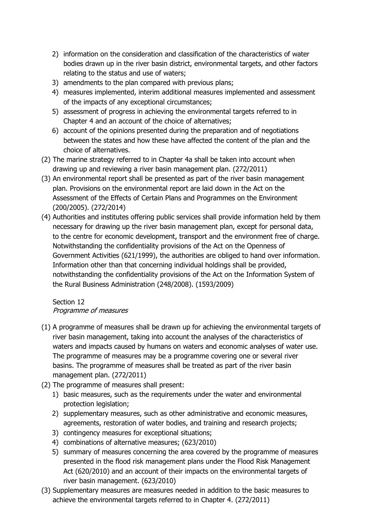- 2) information on the consideration and classification of the characteristics of water bodies drawn up in the river basin district, environmental targets, and other factors relating to the status and use of waters;
- 3) amendments to the plan compared with previous plans;
- 4) measures implemented, interim additional measures implemented and assessment of the impacts of any exceptional circumstances;
- 5) assessment of progress in achieving the environmental targets referred to in Chapter 4 and an account of the choice of alternatives;
- 6) account of the opinions presented during the preparation and of negotiations between the states and how these have affected the content of the plan and the choice of alternatives.
- (2) The marine strategy referred to in Chapter 4a shall be taken into account when drawing up and reviewing a river basin management plan. (272/2011)
- (3) An environmental report shall be presented as part of the river basin management plan. Provisions on the environmental report are laid down in the Act on the Assessment of the Effects of Certain Plans and Programmes on the Environment (200/2005). (272/2014)
- (4) Authorities and institutes offering public services shall provide information held by them necessary for drawing up the river basin management plan, except for personal data, to the centre for economic development, transport and the environment free of charge. Notwithstanding the confidentiality provisions of the Act on the Openness of Government Activities (621/1999), the authorities are obliged to hand over information. Information other than that concerning individual holdings shall be provided, notwithstanding the confidentiality provisions of the Act on the Information System of the Rural Business Administration (248/2008). (1593/2009)

## Section 12 Programme of measures

- (1) A programme of measures shall be drawn up for achieving the environmental targets of river basin management, taking into account the analyses of the characteristics of waters and impacts caused by humans on waters and economic analyses of water use. The programme of measures may be a programme covering one or several river basins. The programme of measures shall be treated as part of the river basin management plan. (272/2011)
- (2) The programme of measures shall present:
	- 1) basic measures, such as the requirements under the water and environmental protection legislation;
	- 2) supplementary measures, such as other administrative and economic measures, agreements, restoration of water bodies, and training and research projects;
	- 3) contingency measures for exceptional situations;
	- 4) combinations of alternative measures; (623/2010)
	- 5) summary of measures concerning the area covered by the programme of measures presented in the flood risk management plans under the Flood Risk Management Act (620/2010) and an account of their impacts on the environmental targets of river basin management. (623/2010)
- (3) Supplementary measures are measures needed in addition to the basic measures to achieve the environmental targets referred to in Chapter 4. (272/2011)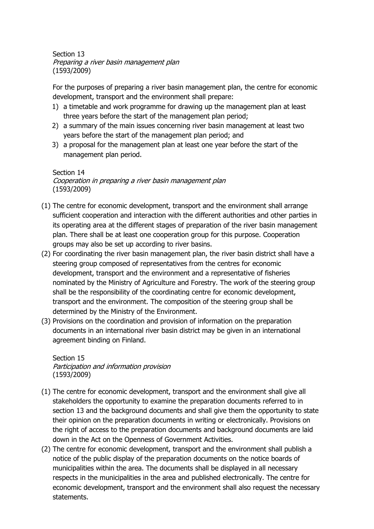Section 13 Preparing a river basin management plan (1593/2009)

For the purposes of preparing a river basin management plan, the centre for economic development, transport and the environment shall prepare:

- 1) a timetable and work programme for drawing up the management plan at least three years before the start of the management plan period;
- 2) a summary of the main issues concerning river basin management at least two years before the start of the management plan period; and
- 3) a proposal for the management plan at least one year before the start of the management plan period.

Section 14 Cooperation in preparing a river basin management plan (1593/2009)

- (1) The centre for economic development, transport and the environment shall arrange sufficient cooperation and interaction with the different authorities and other parties in its operating area at the different stages of preparation of the river basin management plan. There shall be at least one cooperation group for this purpose. Cooperation groups may also be set up according to river basins.
- (2) For coordinating the river basin management plan, the river basin district shall have a steering group composed of representatives from the centres for economic development, transport and the environment and a representative of fisheries nominated by the Ministry of Agriculture and Forestry. The work of the steering group shall be the responsibility of the coordinating centre for economic development, transport and the environment. The composition of the steering group shall be determined by the Ministry of the Environment.
- (3) Provisions on the coordination and provision of information on the preparation documents in an international river basin district may be given in an international agreement binding on Finland.

Section 15 Participation and information provision (1593/2009)

- (1) The centre for economic development, transport and the environment shall give all stakeholders the opportunity to examine the preparation documents referred to in section 13 and the background documents and shall give them the opportunity to state their opinion on the preparation documents in writing or electronically. Provisions on the right of access to the preparation documents and background documents are laid down in the Act on the Openness of Government Activities.
- (2) The centre for economic development, transport and the environment shall publish a notice of the public display of the preparation documents on the notice boards of municipalities within the area. The documents shall be displayed in all necessary respects in the municipalities in the area and published electronically. The centre for economic development, transport and the environment shall also request the necessary statements.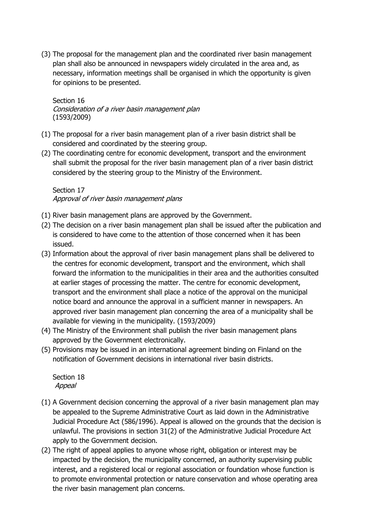(3) The proposal for the management plan and the coordinated river basin management plan shall also be announced in newspapers widely circulated in the area and, as necessary, information meetings shall be organised in which the opportunity is given for opinions to be presented.

Section 16 Consideration of a river basin management plan (1593/2009)

- (1) The proposal for a river basin management plan of a river basin district shall be considered and coordinated by the steering group.
- (2) The coordinating centre for economic development, transport and the environment shall submit the proposal for the river basin management plan of a river basin district considered by the steering group to the Ministry of the Environment.

Section 17 Approval of river basin management plans

- (1) River basin management plans are approved by the Government.
- (2) The decision on a river basin management plan shall be issued after the publication and is considered to have come to the attention of those concerned when it has been issued.
- (3) Information about the approval of river basin management plans shall be delivered to the centres for economic development, transport and the environment, which shall forward the information to the municipalities in their area and the authorities consulted at earlier stages of processing the matter. The centre for economic development, transport and the environment shall place a notice of the approval on the municipal notice board and announce the approval in a sufficient manner in newspapers. An approved river basin management plan concerning the area of a municipality shall be available for viewing in the municipality. (1593/2009)
- (4) The Ministry of the Environment shall publish the river basin management plans approved by the Government electronically.
- (5) Provisions may be issued in an international agreement binding on Finland on the notification of Government decisions in international river basin districts.

Section 18 Appeal

- (1) A Government decision concerning the approval of a river basin management plan may be appealed to the Supreme Administrative Court as laid down in the Administrative Judicial Procedure Act (586/1996). Appeal is allowed on the grounds that the decision is unlawful. The provisions in section 31(2) of the Administrative Judicial Procedure Act apply to the Government decision.
- (2) The right of appeal applies to anyone whose right, obligation or interest may be impacted by the decision, the municipality concerned, an authority supervising public interest, and a registered local or regional association or foundation whose function is to promote environmental protection or nature conservation and whose operating area the river basin management plan concerns.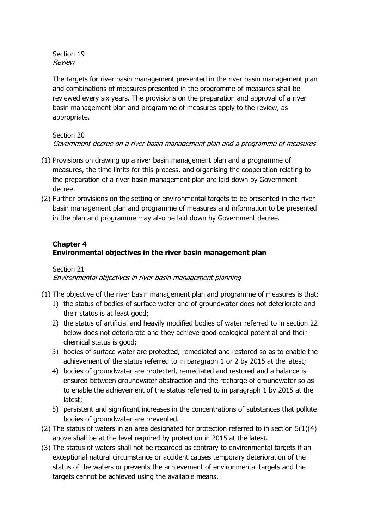Section 19 Review

The targets for river basin management presented in the river basin management plan and combinations of measures presented in the programme of measures shall be reviewed every six years. The provisions on the preparation and approval of a river basin management plan and programme of measures apply to the review, as appropriate.

#### Section 20

Government decree on a river basin management plan and <sup>a</sup> programme of measures

- (1) Provisions on drawing up a river basin management plan and a programme of measures, the time limits for this process, and organising the cooperation relating to the preparation of a river basin management plan are laid down by Government decree.
- (2) Further provisions on the setting of environmental targets to be presented in the river basin management plan and programme of measures and information to be presented in the plan and programme may also be laid down by Government decree.

## **Chapter 4 Environmental objectives in the river basin management plan**

#### Section 21 Environmental objectives in river basin management planning

- (1) The objective of the river basin management plan and programme of measures is that:
	- 1) the status of bodies of surface water and of groundwater does not deteriorate and their status is at least good;
	- 2) the status of artificial and heavily modified bodies of water referred to in section 22 below does not deteriorate and they achieve good ecological potential and their chemical status is good;
	- 3) bodies of surface water are protected, remediated and restored so as to enable the achievement of the status referred to in paragraph 1 or 2 by 2015 at the latest;
	- 4) bodies of groundwater are protected, remediated and restored and a balance is ensured between groundwater abstraction and the recharge of groundwater so as to enable the achievement of the status referred to in paragraph 1 by 2015 at the latest;
	- 5) persistent and significant increases in the concentrations of substances that pollute bodies of groundwater are prevented.
- (2) The status of waters in an area designated for protection referred to in section 5(1)(4) above shall be at the level required by protection in 2015 at the latest.
- (3) The status of waters shall not be regarded as contrary to environmental targets if an exceptional natural circumstance or accident causes temporary deterioration of the status of the waters or prevents the achievement of environmental targets and the targets cannot be achieved using the available means.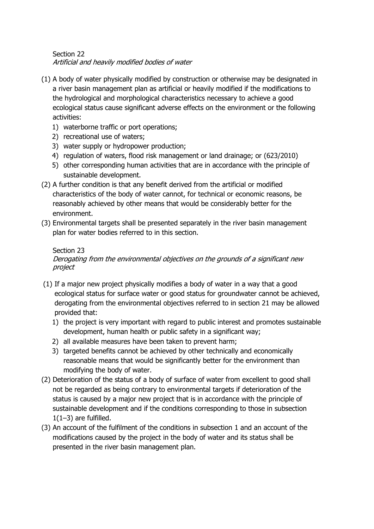### Section 22 Artificial and heavily modified bodies of water

- (1) A body of water physically modified by construction or otherwise may be designated in a river basin management plan as artificial or heavily modified if the modifications to the hydrological and morphological characteristics necessary to achieve a good ecological status cause significant adverse effects on the environment or the following activities:
	- 1) waterborne traffic or port operations;
	- 2) recreational use of waters;
	- 3) water supply or hydropower production;
	- 4) regulation of waters, flood risk management or land drainage; or (623/2010)
	- 5) other corresponding human activities that are in accordance with the principle of sustainable development.
- (2) A further condition is that any benefit derived from the artificial or modified characteristics of the body of water cannot, for technical or economic reasons, be reasonably achieved by other means that would be considerably better for the environment.
- (3) Environmental targets shall be presented separately in the river basin management plan for water bodies referred to in this section.

# Section 23

Derogating from the environmental objectives on the grounds of a significant new project

- (1) If a major new project physically modifies a body of water in a way that a good ecological status for surface water or good status for groundwater cannot be achieved, derogating from the environmental objectives referred to in section 21 may be allowed provided that:
	- 1) the project is very important with regard to public interest and promotes sustainable development, human health or public safety in a significant way;
	- 2) all available measures have been taken to prevent harm;
	- 3) targeted benefits cannot be achieved by other technically and economically reasonable means that would be significantly better for the environment than modifying the body of water.
- (2) Deterioration of the status of a body of surface of water from excellent to good shall not be regarded as being contrary to environmental targets if deterioration of the status is caused by a major new project that is in accordance with the principle of sustainable development and if the conditions corresponding to those in subsection  $1(1-3)$  are fulfilled.
- (3) An account of the fulfilment of the conditions in subsection 1 and an account of the modifications caused by the project in the body of water and its status shall be presented in the river basin management plan.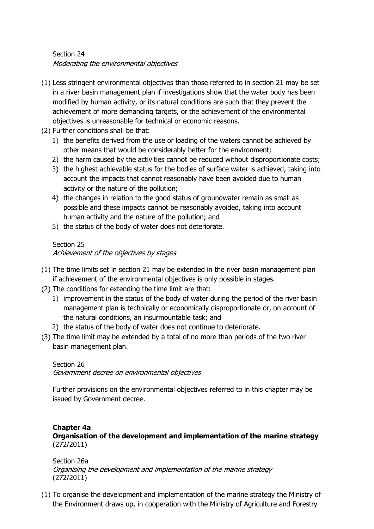## Section 24 Moderating the environmental objectives

- (1) Less stringent environmental objectives than those referred to in section 21 may be set in a river basin management plan if investigations show that the water body has been modified by human activity, or its natural conditions are such that they prevent the achievement of more demanding targets, or the achievement of the environmental objectives is unreasonable for technical or economic reasons.
- (2) Further conditions shall be that:
	- 1) the benefits derived from the use or loading of the waters cannot be achieved by other means that would be considerably better for the environment;
	- 2) the harm caused by the activities cannot be reduced without disproportionate costs;
	- 3) the highest achievable status for the bodies of surface water is achieved, taking into account the impacts that cannot reasonably have been avoided due to human activity or the nature of the pollution;
	- 4) the changes in relation to the good status of groundwater remain as small as possible and these impacts cannot be reasonably avoided, taking into account human activity and the nature of the pollution; and
	- 5) the status of the body of water does not deteriorate.

### Section 25 Achievement of the objectives by stages

- (1) The time limits set in section 21 may be extended in the river basin management plan if achievement of the environmental objectives is only possible in stages.
- (2) The conditions for extending the time limit are that:
	- 1) improvement in the status of the body of water during the period of the river basin management plan is technically or economically disproportionate or, on account of the natural conditions, an insurmountable task; and
	- 2) the status of the body of water does not continue to deteriorate.
- (3) The time limit may be extended by a total of no more than periods of the two river basin management plan.

## Section 26 Government decree on environmental objectives

Further provisions on the environmental objectives referred to in this chapter may be issued by Government decree.

### **Chapter 4a Organisation of the development and implementation of the marine strategy** (272/2011)

Section 26a Organising the development and implementation of the marine strategy (272/2011)

(1) To organise the development and implementation of the marine strategy the Ministry of the Environment draws up, in cooperation with the Ministry of Agriculture and Forestry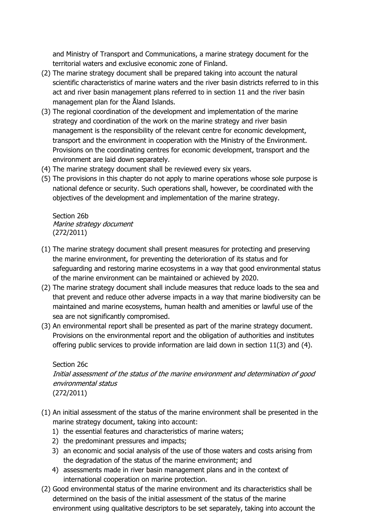and Ministry of Transport and Communications, a marine strategy document for the territorial waters and exclusive economic zone of Finland.

- (2) The marine strategy document shall be prepared taking into account the natural scientific characteristics of marine waters and the river basin districts referred to in this act and river basin management plans referred to in section 11 and the river basin management plan for the Åland Islands.
- (3) The regional coordination of the development and implementation of the marine strategy and coordination of the work on the marine strategy and river basin management is the responsibility of the relevant centre for economic development, transport and the environment in cooperation with the Ministry of the Environment. Provisions on the coordinating centres for economic development, transport and the environment are laid down separately.
- (4) The marine strategy document shall be reviewed every six years.
- (5) The provisions in this chapter do not apply to marine operations whose sole purpose is national defence or security. Such operations shall, however, be coordinated with the objectives of the development and implementation of the marine strategy.

Section 26b Marine strategy document (272/2011)

- (1) The marine strategy document shall present measures for protecting and preserving the marine environment, for preventing the deterioration of its status and for safeguarding and restoring marine ecosystems in a way that good environmental status of the marine environment can be maintained or achieved by 2020.
- (2) The marine strategy document shall include measures that reduce loads to the sea and that prevent and reduce other adverse impacts in a way that marine biodiversity can be maintained and marine ecosystems, human health and amenities or lawful use of the sea are not significantly compromised.
- (3) An environmental report shall be presented as part of the marine strategy document. Provisions on the environmental report and the obligation of authorities and institutes offering public services to provide information are laid down in section 11(3) and (4).

## Section 26c Initial assessment of the status of the marine environment and determination of good environmental status (272/2011)

- (1) An initial assessment of the status of the marine environment shall be presented in the marine strategy document, taking into account:
	- 1) the essential features and characteristics of marine waters;
	- 2) the predominant pressures and impacts;
	- 3) an economic and social analysis of the use of those waters and costs arising from the degradation of the status of the marine environment; and
	- 4) assessments made in river basin management plans and in the context of international cooperation on marine protection.
- (2) Good environmental status of the marine environment and its characteristics shall be determined on the basis of the initial assessment of the status of the marine environment using qualitative descriptors to be set separately, taking into account the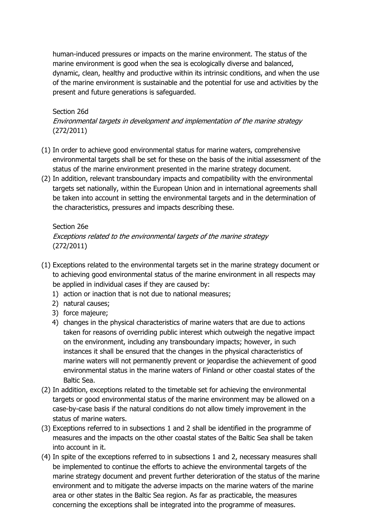human-induced pressures or impacts on the marine environment. The status of the marine environment is good when the sea is ecologically diverse and balanced, dynamic, clean, healthy and productive within its intrinsic conditions, and when the use of the marine environment is sustainable and the potential for use and activities by the present and future generations is safeguarded.

## Section 26d Environmental targets in development and implementation of the marine strategy (272/2011)

- (1) In order to achieve good environmental status for marine waters, comprehensive environmental targets shall be set for these on the basis of the initial assessment of the status of the marine environment presented in the marine strategy document.
- (2) In addition, relevant transboundary impacts and compatibility with the environmental targets set nationally, within the European Union and in international agreements shall be taken into account in setting the environmental targets and in the determination of the characteristics, pressures and impacts describing these.

#### Section 26e

Exceptions related to the environmental targets of the marine strategy (272/2011)

- (1) Exceptions related to the environmental targets set in the marine strategy document or to achieving good environmental status of the marine environment in all respects may be applied in individual cases if they are caused by:
	- 1) action or inaction that is not due to national measures;
	- 2) natural causes;
	- 3) force majeure;
	- 4) changes in the physical characteristics of marine waters that are due to actions taken for reasons of overriding public interest which outweigh the negative impact on the environment, including any transboundary impacts; however, in such instances it shall be ensured that the changes in the physical characteristics of marine waters will not permanently prevent or jeopardise the achievement of good environmental status in the marine waters of Finland or other coastal states of the Baltic Sea.
- (2) In addition, exceptions related to the timetable set for achieving the environmental targets or good environmental status of the marine environment may be allowed on a case-by-case basis if the natural conditions do not allow timely improvement in the status of marine waters.
- (3) Exceptions referred to in subsections 1 and 2 shall be identified in the programme of measures and the impacts on the other coastal states of the Baltic Sea shall be taken into account in it.
- (4) In spite of the exceptions referred to in subsections 1 and 2, necessary measures shall be implemented to continue the efforts to achieve the environmental targets of the marine strategy document and prevent further deterioration of the status of the marine environment and to mitigate the adverse impacts on the marine waters of the marine area or other states in the Baltic Sea region. As far as practicable, the measures concerning the exceptions shall be integrated into the programme of measures.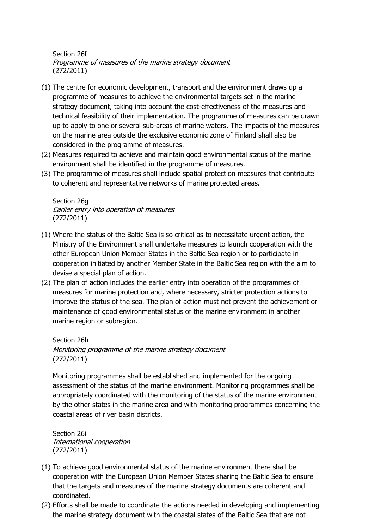Section 26f Programme of measures of the marine strategy document (272/2011)

- (1) The centre for economic development, transport and the environment draws up a programme of measures to achieve the environmental targets set in the marine strategy document, taking into account the cost-effectiveness of the measures and technical feasibility of their implementation. The programme of measures can be drawn up to apply to one or several sub-areas of marine waters. The impacts of the measures on the marine area outside the exclusive economic zone of Finland shall also be considered in the programme of measures.
- (2) Measures required to achieve and maintain good environmental status of the marine environment shall be identified in the programme of measures.
- (3) The programme of measures shall include spatial protection measures that contribute to coherent and representative networks of marine protected areas.

Section 26g Earlier entry into operation of measures (272/2011)

- (1) Where the status of the Baltic Sea is so critical as to necessitate urgent action, the Ministry of the Environment shall undertake measures to launch cooperation with the other European Union Member States in the Baltic Sea region or to participate in cooperation initiated by another Member State in the Baltic Sea region with the aim to devise a special plan of action.
- (2) The plan of action includes the earlier entry into operation of the programmes of measures for marine protection and, where necessary, stricter protection actions to improve the status of the sea. The plan of action must not prevent the achievement or maintenance of good environmental status of the marine environment in another marine region or subregion.

Section 26h Monitoring programme of the marine strategy document (272/2011)

Monitoring programmes shall be established and implemented for the ongoing assessment of the status of the marine environment. Monitoring programmes shall be appropriately coordinated with the monitoring of the status of the marine environment by the other states in the marine area and with monitoring programmes concerning the coastal areas of river basin districts.

Section 26i International cooperation (272/2011)

- (1) To achieve good environmental status of the marine environment there shall be cooperation with the European Union Member States sharing the Baltic Sea to ensure that the targets and measures of the marine strategy documents are coherent and coordinated.
- (2) Efforts shall be made to coordinate the actions needed in developing and implementing the marine strategy document with the coastal states of the Baltic Sea that are not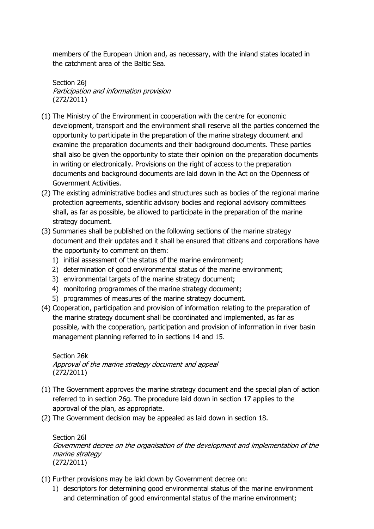members of the European Union and, as necessary, with the inland states located in the catchment area of the Baltic Sea.

Section 26j Participation and information provision (272/2011)

- (1) The Ministry of the Environment in cooperation with the centre for economic development, transport and the environment shall reserve all the parties concerned the opportunity to participate in the preparation of the marine strategy document and examine the preparation documents and their background documents. These parties shall also be given the opportunity to state their opinion on the preparation documents in writing or electronically. Provisions on the right of access to the preparation documents and background documents are laid down in the Act on the Openness of Government Activities.
- (2) The existing administrative bodies and structures such as bodies of the regional marine protection agreements, scientific advisory bodies and regional advisory committees shall, as far as possible, be allowed to participate in the preparation of the marine strategy document.
- (3) Summaries shall be published on the following sections of the marine strategy document and their updates and it shall be ensured that citizens and corporations have the opportunity to comment on them:
	- 1) initial assessment of the status of the marine environment;
	- 2) determination of good environmental status of the marine environment;
	- 3) environmental targets of the marine strategy document;
	- 4) monitoring programmes of the marine strategy document;
	- 5) programmes of measures of the marine strategy document.
- (4) Cooperation, participation and provision of information relating to the preparation of the marine strategy document shall be coordinated and implemented, as far as possible, with the cooperation, participation and provision of information in river basin management planning referred to in sections 14 and 15.

Section 26k Approval of the marine strategy document and appeal (272/2011)

- (1) The Government approves the marine strategy document and the special plan of action referred to in section 26g. The procedure laid down in section 17 applies to the approval of the plan, as appropriate.
- (2) The Government decision may be appealed as laid down in section 18.

Section 26l Government decree on the organisation of the development and implementation of the marine strategy (272/2011)

- (1) Further provisions may be laid down by Government decree on:
	- 1) descriptors for determining good environmental status of the marine environment and determination of good environmental status of the marine environment;